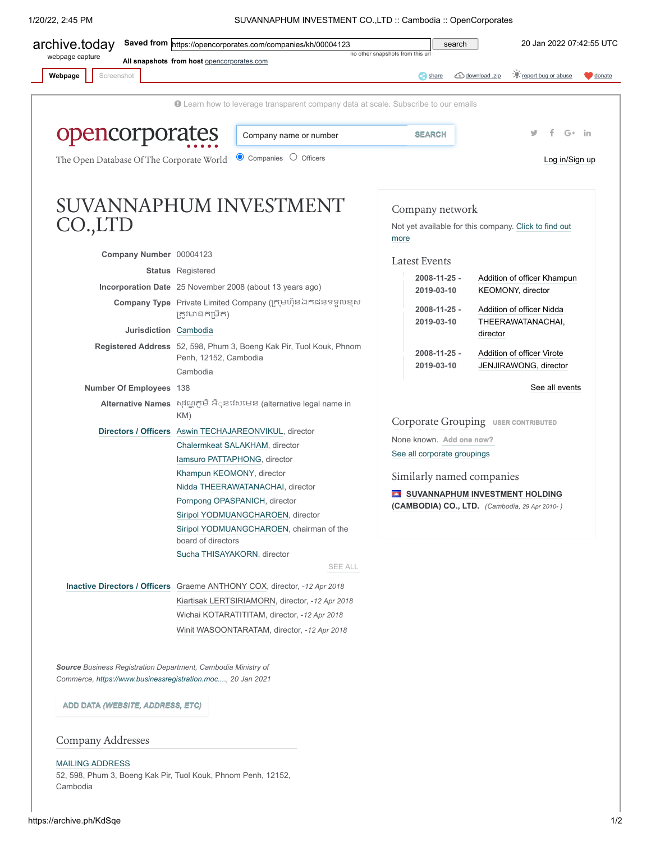1/20/22, 2:45 PM SUVANNAPHUM INVESTMENT CO.,LTD :: Cambodia :: OpenCorporates

<span id="page-0-0"></span>